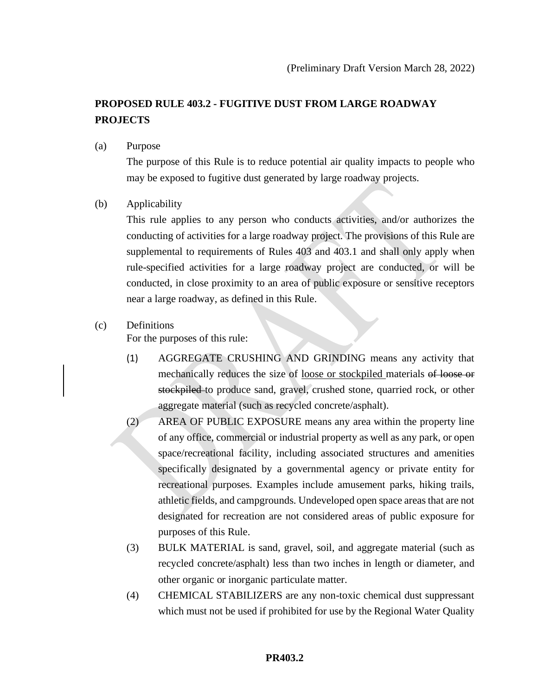# **PROPOSED RULE 403.2 - FUGITIVE DUST FROM LARGE ROADWAY PROJECTS**

(a) Purpose

The purpose of this Rule is to reduce potential air quality impacts to people who may be exposed to fugitive dust generated by large roadway projects.

(b) Applicability

This rule applies to any person who conducts activities, and/or authorizes the conducting of activities for a large roadway project. The provisions of this Rule are supplemental to requirements of Rules 403 and 403.1 and shall only apply when rule-specified activities for a large roadway project are conducted, or will be conducted, in close proximity to an area of public exposure or sensitive receptors near a large roadway, as defined in this Rule.

## (c) Definitions

For the purposes of this rule:

- (1) AGGREGATE CRUSHING AND GRINDING means any activity that mechanically reduces the size of loose or stockpiled materials of loose or stockpiled to produce sand, gravel, crushed stone, quarried rock, or other aggregate material (such as recycled concrete/asphalt).
- (2) AREA OF PUBLIC EXPOSURE means any area within the property line of any office, commercial or industrial property as well as any park, or open space/recreational facility, including associated structures and amenities specifically designated by a governmental agency or private entity for recreational purposes. Examples include amusement parks, hiking trails, athletic fields, and campgrounds. Undeveloped open space areas that are not designated for recreation are not considered areas of public exposure for purposes of this Rule.
- (3) BULK MATERIAL is sand, gravel, soil, and aggregate material (such as recycled concrete/asphalt) less than two inches in length or diameter, and other organic or inorganic particulate matter.
- (4) CHEMICAL STABILIZERS are any non-toxic chemical dust suppressant which must not be used if prohibited for use by the Regional Water Quality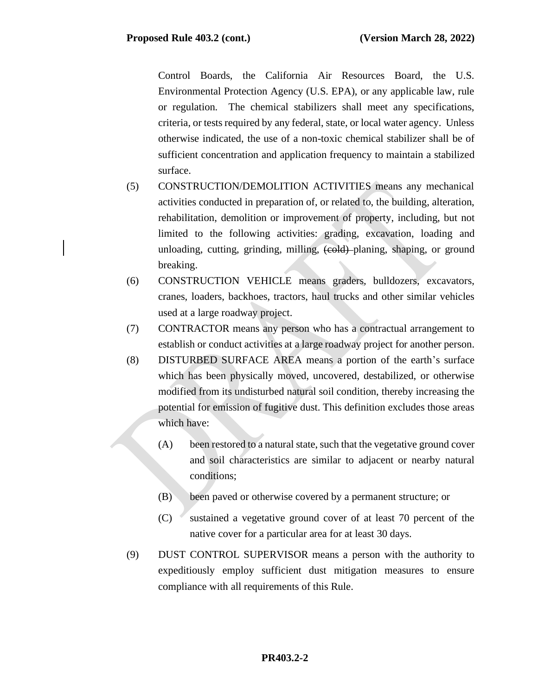Control Boards, the California Air Resources Board, the U.S. Environmental Protection Agency (U.S. EPA), or any applicable law, rule or regulation. The chemical stabilizers shall meet any specifications, criteria, or tests required by any federal, state, or local water agency. Unless otherwise indicated, the use of a non-toxic chemical stabilizer shall be of sufficient concentration and application frequency to maintain a stabilized surface.

- (5) CONSTRUCTION/DEMOLITION ACTIVITIES means any mechanical activities conducted in preparation of, or related to, the building, alteration, rehabilitation, demolition or improvement of property, including, but not limited to the following activities: grading, excavation, loading and unloading, cutting, grinding, milling,  $\left(\frac{\text{cold}}{\text{p}}\right)$  planing, shaping, or ground breaking.
- (6) CONSTRUCTION VEHICLE means graders, bulldozers, excavators, cranes, loaders, backhoes, tractors, haul trucks and other similar vehicles used at a large roadway project.
- (7) CONTRACTOR means any person who has a contractual arrangement to establish or conduct activities at a large roadway project for another person.
- (8) DISTURBED SURFACE AREA means a portion of the earth's surface which has been physically moved, uncovered, destabilized, or otherwise modified from its undisturbed natural soil condition, thereby increasing the potential for emission of fugitive dust. This definition excludes those areas which have:
	- (A) been restored to a natural state, such that the vegetative ground cover and soil characteristics are similar to adjacent or nearby natural conditions;
	- (B) been paved or otherwise covered by a permanent structure; or
	- (C) sustained a vegetative ground cover of at least 70 percent of the native cover for a particular area for at least 30 days.
- (9) DUST CONTROL SUPERVISOR means a person with the authority to expeditiously employ sufficient dust mitigation measures to ensure compliance with all requirements of this Rule.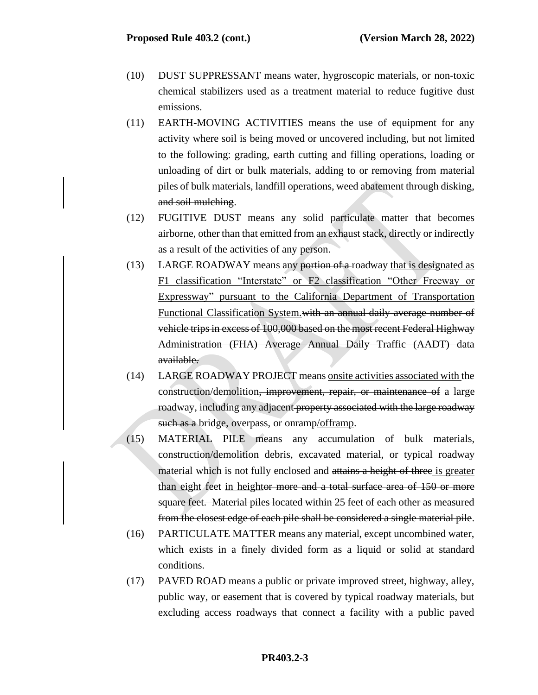- (10) DUST SUPPRESSANT means water, hygroscopic materials, or non-toxic chemical stabilizers used as a treatment material to reduce fugitive dust emissions.
- (11) EARTH-MOVING ACTIVITIES means the use of equipment for any activity where soil is being moved or uncovered including, but not limited to the following: grading, earth cutting and filling operations, loading or unloading of dirt or bulk materials, adding to or removing from material piles of bulk materials, landfill operations, weed abatement through disking, and soil mulching.
- (12) FUGITIVE DUST means any solid particulate matter that becomes airborne, other than that emitted from an exhaust stack, directly or indirectly as a result of the activities of any person.
- (13) LARGE ROADWAY means any portion of a roadway that is designated as F1 classification "Interstate" or F2 classification "Other Freeway or Expressway" pursuant to the California Department of Transportation Functional Classification System.with an annual daily average number of vehicle trips in excess of 100,000 based on the most recent Federal Highway Administration (FHA) Average Annual Daily Traffic (AADT) data available.
- (14) LARGE ROADWAY PROJECT means onsite activities associated with the construction/demolition, improvement, repair, or maintenance of a large roadway, including any adjacent property associated with the large roadway such as a bridge, overpass, or onramp/offramp.
- (15) MATERIAL PILE means any accumulation of bulk materials, construction/demolition debris, excavated material, or typical roadway material which is not fully enclosed and attains a height of three is greater than eight feet in heightor more and a total surface area of 150 or more square feet. Material piles located within 25 feet of each other as measured from the closest edge of each pile shall be considered a single material pile.
- (16) PARTICULATE MATTER means any material, except uncombined water, which exists in a finely divided form as a liquid or solid at standard conditions.
- (17) PAVED ROAD means a public or private improved street, highway, alley, public way, or easement that is covered by typical roadway materials, but excluding access roadways that connect a facility with a public paved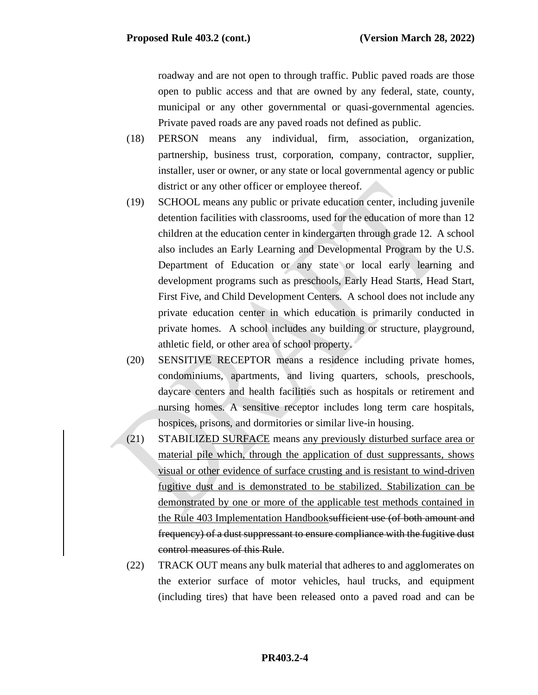roadway and are not open to through traffic. Public paved roads are those open to public access and that are owned by any federal, state, county, municipal or any other governmental or quasi-governmental agencies. Private paved roads are any paved roads not defined as public.

- (18) PERSON means any individual, firm, association, organization, partnership, business trust, corporation, company, contractor, supplier, installer, user or owner, or any state or local governmental agency or public district or any other officer or employee thereof.
- (19) SCHOOL means any public or private education center, including juvenile detention facilities with classrooms, used for the education of more than 12 children at the education center in kindergarten through grade 12. A school also includes an Early Learning and Developmental Program by the U.S. Department of Education or any state or local early learning and development programs such as preschools, Early Head Starts, Head Start, First Five, and Child Development Centers. A school does not include any private education center in which education is primarily conducted in private homes. A school includes any building or structure, playground, athletic field, or other area of school property.
- (20) SENSITIVE RECEPTOR means a residence including private homes, condominiums, apartments, and living quarters, schools, preschools, daycare centers and health facilities such as hospitals or retirement and nursing homes. A sensitive receptor includes long term care hospitals, hospices, prisons, and dormitories or similar live-in housing.
- (21) STABILIZED SURFACE means any previously disturbed surface area or material pile which, through the application of dust suppressants, shows visual or other evidence of surface crusting and is resistant to wind-driven fugitive dust and is demonstrated to be stabilized. Stabilization can be demonstrated by one or more of the applicable test methods contained in the Rule 403 Implementation Handbooksufficient use (of both amount and frequency) of a dust suppressant to ensure compliance with the fugitive dust control measures of this Rule.
- (22) TRACK OUT means any bulk material that adheres to and agglomerates on the exterior surface of motor vehicles, haul trucks, and equipment (including tires) that have been released onto a paved road and can be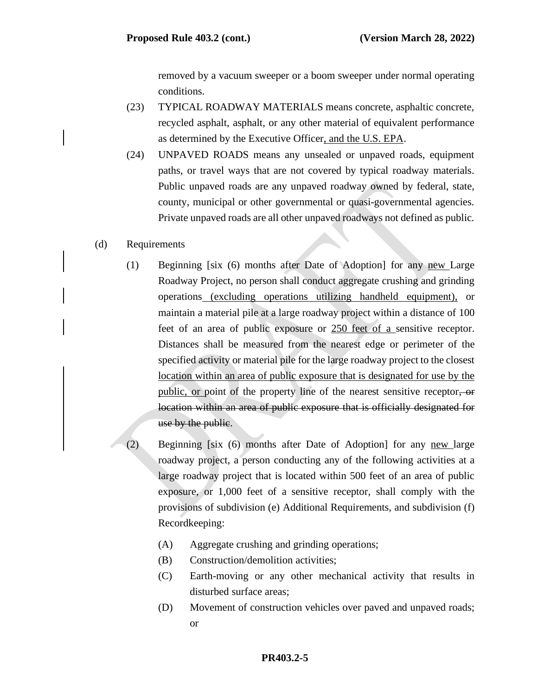removed by a vacuum sweeper or a boom sweeper under normal operating conditions.

- (23) TYPICAL ROADWAY MATERIALS means concrete, asphaltic concrete, recycled asphalt, asphalt, or any other material of equivalent performance as determined by the Executive Officer, and the U.S. EPA.
- (24) UNPAVED ROADS means any unsealed or unpaved roads, equipment paths, or travel ways that are not covered by typical roadway materials. Public unpaved roads are any unpaved roadway owned by federal, state, county, municipal or other governmental or quasi-governmental agencies. Private unpaved roads are all other unpaved roadways not defined as public.
- (d) Requirements
	- (1) Beginning [six (6) months after Date of Adoption] for any new Large Roadway Project, no person shall conduct aggregate crushing and grinding operations (excluding operations utilizing handheld equipment), or maintain a material pile at a large roadway project within a distance of 100 feet of an area of public exposure or 250 feet of a sensitive receptor. Distances shall be measured from the nearest edge or perimeter of the specified activity or material pile for the large roadway project to the closest location within an area of public exposure that is designated for use by the public, or point of the property line of the nearest sensitive receptor, or location within an area of public exposure that is officially designated for use by the public.
	- (2) Beginning [six (6) months after Date of Adoption] for any new large roadway project, a person conducting any of the following activities at a large roadway project that is located within 500 feet of an area of public exposure, or 1,000 feet of a sensitive receptor, shall comply with the provisions of subdivision (e) Additional Requirements, and subdivision (f) Recordkeeping:
		- (A) Aggregate crushing and grinding operations;
		- (B) Construction/demolition activities;
		- (C) Earth-moving or any other mechanical activity that results in disturbed surface areas;
		- (D) Movement of construction vehicles over paved and unpaved roads; or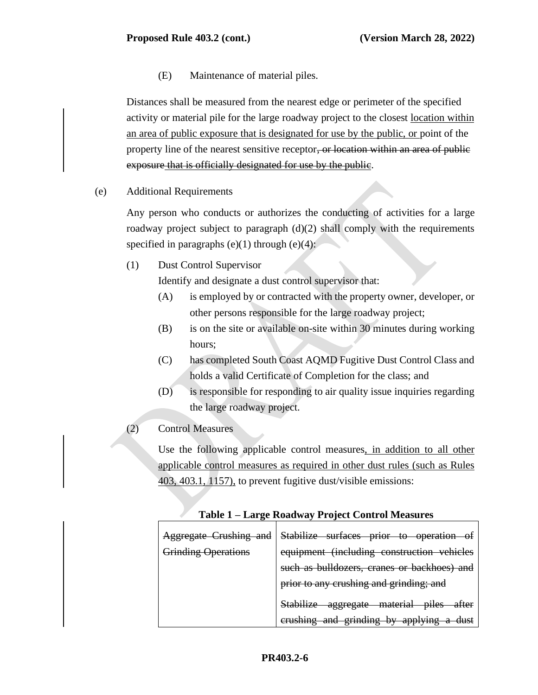(E) Maintenance of material piles.

Distances shall be measured from the nearest edge or perimeter of the specified activity or material pile for the large roadway project to the closest location within an area of public exposure that is designated for use by the public, or point of the property line of the nearest sensitive receptor, or location within an area of public exposure that is officially designated for use by the public.

(e) Additional Requirements

Any person who conducts or authorizes the conducting of activities for a large roadway project subject to paragraph (d)(2) shall comply with the requirements specified in paragraphs  $(e)(1)$  through  $(e)(4)$ :

(1) Dust Control Supervisor

Identify and designate a dust control supervisor that:

- (A) is employed by or contracted with the property owner, developer, or other persons responsible for the large roadway project;
- (B) is on the site or available on-site within 30 minutes during working hours;
- (C) has completed South Coast AQMD Fugitive Dust Control Class and holds a valid Certificate of Completion for the class; and
- (D) is responsible for responding to air quality issue inquiries regarding the large roadway project.
- (2) Control Measures

Use the following applicable control measures, in addition to all other applicable control measures as required in other dust rules (such as Rules 403, 403.1, 1157), to prevent fugitive dust/visible emissions:

| Aggregate Crushing and     | Stabilize surfaces prior to operation<br>ΘŤ                          |  |  |  |
|----------------------------|----------------------------------------------------------------------|--|--|--|
| <b>Grinding Operations</b> | equipment (including construction vehicles                           |  |  |  |
|                            | such as bulldozers, cranes or backhoes) and                          |  |  |  |
|                            | prior to any crushing and grinding; and                              |  |  |  |
|                            | Stabilize<br>aggregate material<br>niloc<br><del>after</del><br>uncs |  |  |  |
|                            | erushing and grinding by applying a<br>duct<br>uust                  |  |  |  |

#### **Table 1 – Large Roadway Project Control Measures**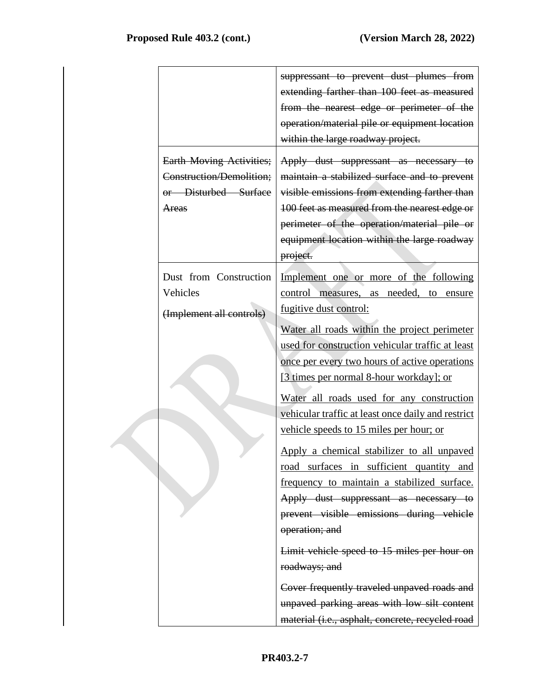| <b>Earth Moving Activities;</b><br>Construction/Demolition;<br>or Disturbed Surface<br>Areas | suppressant to prevent dust plumes from<br>extending farther than 100 feet as measured<br>from the nearest edge or perimeter of the<br>operation/material pile or equipment location<br>within the large roadway project.<br>Apply dust suppressant as necessary to<br>maintain a stabilized surface and to prevent<br>visible emissions from extending farther than<br>100 feet as measured from the nearest edge or<br>perimeter of the operation/material pile or<br>equipment location within the large roadway<br>project. |
|----------------------------------------------------------------------------------------------|---------------------------------------------------------------------------------------------------------------------------------------------------------------------------------------------------------------------------------------------------------------------------------------------------------------------------------------------------------------------------------------------------------------------------------------------------------------------------------------------------------------------------------|
| Dust from Construction<br>Vehicles<br>(Implement all controls)                               | Implement one or more of the following<br>control measures, as needed, to ensure<br>fugitive dust control:<br>Water all roads within the project perimeter<br>used for construction vehicular traffic at least<br>once per every two hours of active operations<br>[3 times per normal 8-hour workday]; or<br>Water all roads used for any construction<br>vehicular traffic at least once daily and restrict<br>vehicle speeds to 15 miles per hour; or                                                                        |
|                                                                                              | Apply a chemical stabilizer to all unpaved<br>road surfaces in sufficient quantity and<br>frequency to maintain a stabilized surface.<br>Apply dust suppressant as necessary to<br>prevent visible emissions during vehicle<br>operation; and<br>Limit vehicle speed to 15 miles per hour on<br>roadways; and<br>Cover frequently traveled unpaved roads and<br>unpaved parking areas with low silt content<br>material (i.e., asphalt, concrete, recycled road                                                                 |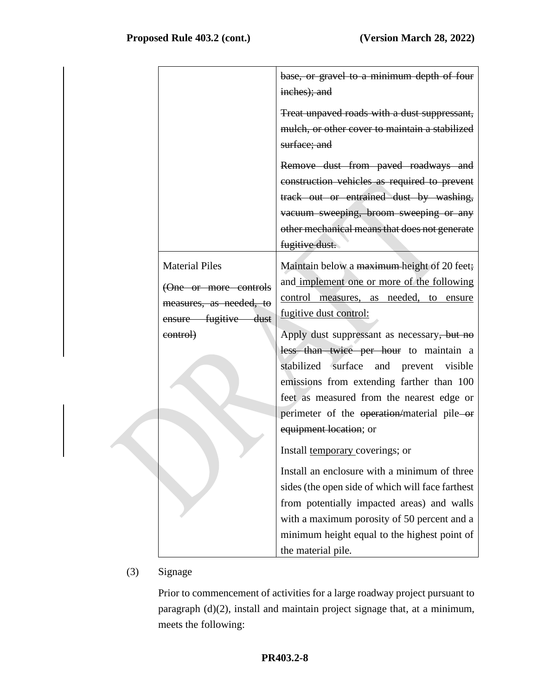|                         | base, or gravel to a minimum depth of four                                                                     |
|-------------------------|----------------------------------------------------------------------------------------------------------------|
|                         | inches); and<br>Treat unpaved roads with a dust suppressant,<br>mulch, or other cover to maintain a stabilized |
|                         | surface; and                                                                                                   |
|                         | Remove dust from paved roadways and                                                                            |
|                         | construction vehicles as required to prevent                                                                   |
|                         | track out or entrained dust by washing,                                                                        |
|                         | vacuum sweeping, broom sweeping or any                                                                         |
|                         | other mechanical means that does not generate                                                                  |
|                         | fugitive dust.                                                                                                 |
| <b>Material Piles</b>   | Maintain below a maximum-height of 20 feet;                                                                    |
| (One or more controls   | and implement one or more of the following                                                                     |
| measures, as needed, to | control measures, as needed, to ensure                                                                         |
| ensure fugitive dust    | fugitive dust control:                                                                                         |
| control)                | Apply dust suppressant as necessary, but no                                                                    |
|                         | less than twice per hour to maintain a                                                                         |
|                         | stabilized surface and prevent visible                                                                         |
|                         | emissions from extending farther than 100                                                                      |
|                         | feet as measured from the nearest edge or                                                                      |
|                         | perimeter of the operation/material pile-or                                                                    |
|                         | equipment location; or                                                                                         |
|                         | Install temporary coverings; or                                                                                |
|                         | Install an enclosure with a minimum of three                                                                   |
|                         | sides (the open side of which will face farthest                                                               |
|                         | from potentially impacted areas) and walls                                                                     |
|                         | with a maximum porosity of 50 percent and a                                                                    |
|                         | minimum height equal to the highest point of                                                                   |
|                         | the material pile.                                                                                             |

# (3) Signage

Prior to commencement of activities for a large roadway project pursuant to paragraph (d)(2), install and maintain project signage that, at a minimum, meets the following: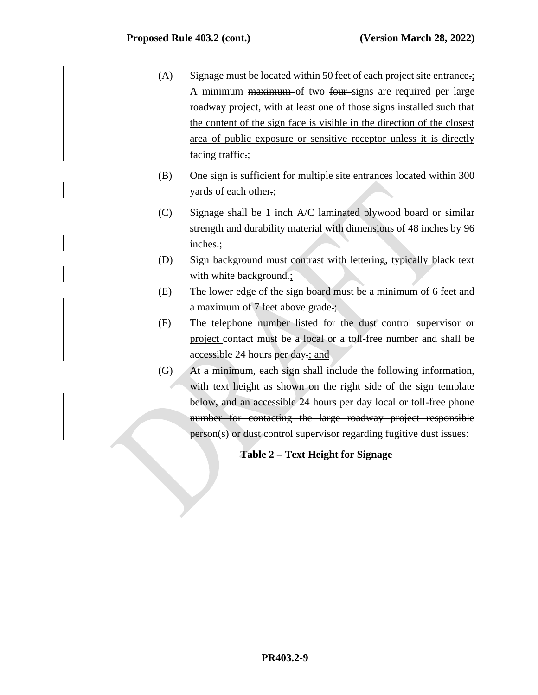- (A) Signage must be located within 50 feet of each project site entrance.; A minimum maximum of two four signs are required per large roadway project, with at least one of those signs installed such that the content of the sign face is visible in the direction of the closest area of public exposure or sensitive receptor unless it is directly facing traffic.;
- (B) One sign is sufficient for multiple site entrances located within 300 yards of each other.;
- (C) Signage shall be 1 inch A/C laminated plywood board or similar strength and durability material with dimensions of 48 inches by 96 inches.;
- (D) Sign background must contrast with lettering, typically black text with white background.;
- (E) The lower edge of the sign board must be a minimum of 6 feet and a maximum of 7 feet above grade.;
- (F) The telephone number listed for the dust control supervisor or project contact must be a local or a toll-free number and shall be accessible 24 hours per day.; and
- (G) At a minimum, each sign shall include the following information, with text height as shown on the right side of the sign template below, and an accessible 24 hours per day local or toll free phone number for contacting the large roadway project responsible person(s) or dust control supervisor regarding fugitive dust issues:

## **Table 2 – Text Height for Signage**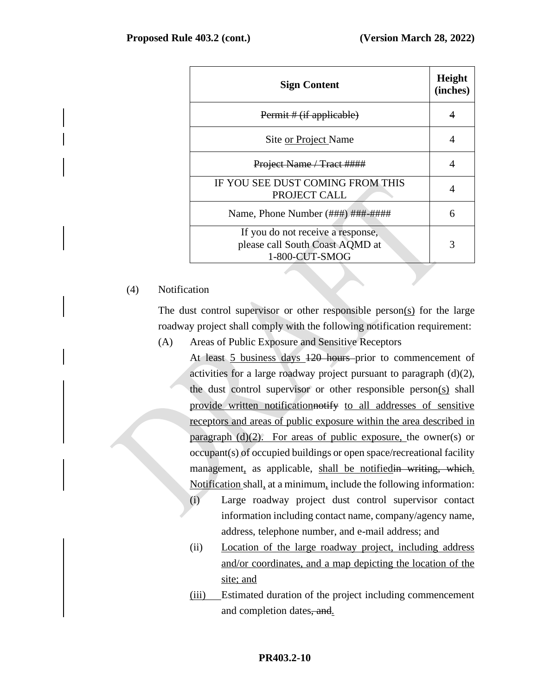| <b>Sign Content</b>                                                                    | Height<br>(inches) |
|----------------------------------------------------------------------------------------|--------------------|
| Permit # (if applicable)                                                               |                    |
| Site or Project Name                                                                   | 4                  |
| Project Name / Tract ####                                                              | 4                  |
| IF YOU SEE DUST COMING FROM THIS<br>PROJECT CALL                                       | 4                  |
| Name, Phone Number (###) ###-####                                                      | 6                  |
| If you do not receive a response,<br>please call South Coast AQMD at<br>1-800-CUT-SMOG | 3                  |

## (4) Notification

The dust control supervisor or other responsible person(s) for the large roadway project shall comply with the following notification requirement:

(A) Areas of Public Exposure and Sensitive Receptors

At least 5 business days  $120$  hours prior to commencement of activities for a large roadway project pursuant to paragraph (d)(2), the dust control supervisor or other responsible person(s) shall provide written notificationnotify to all addresses of sensitive receptors and areas of public exposure within the area described in paragraph  $(d)(2)$ . For areas of public exposure, the owner(s) or occupant(s) of occupied buildings or open space/recreational facility management, as applicable, shall be notified in writing, which. Notification shall, at a minimum, include the following information:

- (i) Large roadway project dust control supervisor contact information including contact name, company/agency name, address, telephone number, and e-mail address; and
- (ii) Location of the large roadway project, including address and/or coordinates, and a map depicting the location of the site; and
- (iii) Estimated duration of the project including commencement and completion dates, and.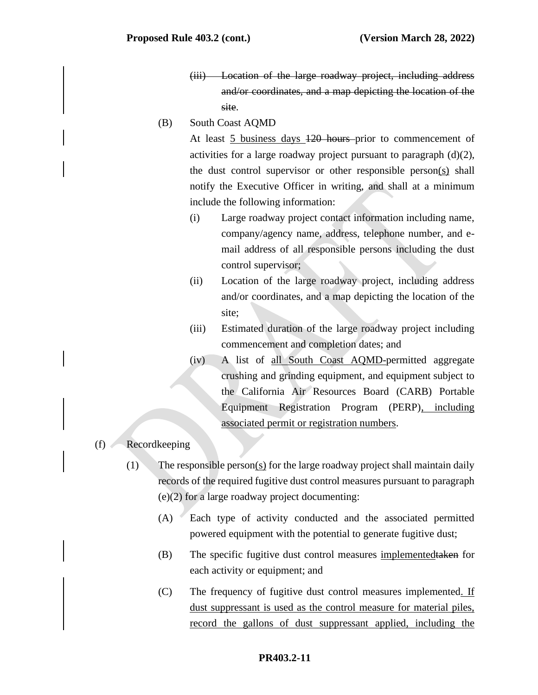- (iii) Location of the large roadway project, including address and/or coordinates, and a map depicting the location of the site.
- (B) South Coast AQMD

At least 5 business days 120 hours prior to commencement of activities for a large roadway project pursuant to paragraph  $(d)(2)$ , the dust control supervisor or other responsible person(s) shall notify the Executive Officer in writing, and shall at a minimum include the following information:

- (i) Large roadway project contact information including name, company/agency name, address, telephone number, and email address of all responsible persons including the dust control supervisor;
- (ii) Location of the large roadway project, including address and/or coordinates, and a map depicting the location of the site;
- (iii) Estimated duration of the large roadway project including commencement and completion dates; and
- (iv) A list of all South Coast AQMD-permitted aggregate crushing and grinding equipment, and equipment subject to the California Air Resources Board (CARB) Portable Equipment Registration Program (PERP), including associated permit or registration numbers.

#### (f) Recordkeeping

- (1) The responsible person(s) for the large roadway project shall maintain daily records of the required fugitive dust control measures pursuant to paragraph (e)(2) for a large roadway project documenting:
	- (A) Each type of activity conducted and the associated permitted powered equipment with the potential to generate fugitive dust;
	- (B) The specific fugitive dust control measures implementedtaken for each activity or equipment; and
	- (C) The frequency of fugitive dust control measures implemented. If dust suppressant is used as the control measure for material piles, record the gallons of dust suppressant applied, including the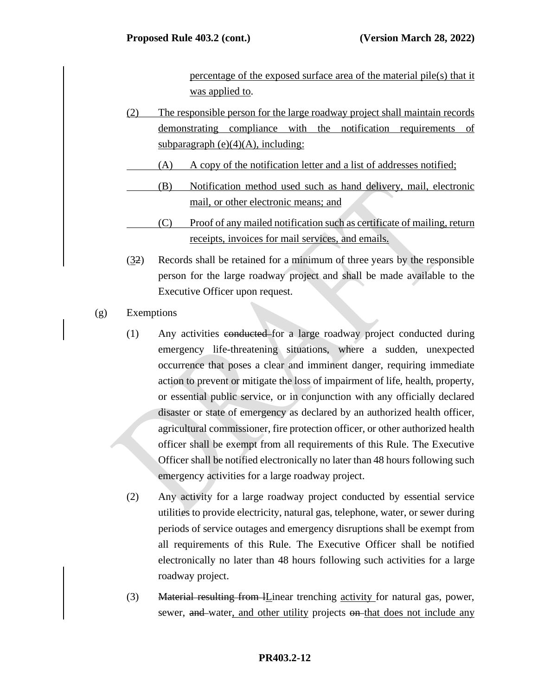percentage of the exposed surface area of the material pile(s) that it was applied to.

- (2) The responsible person for the large roadway project shall maintain records demonstrating compliance with the notification requirements of subparagraph  $(e)(4)(A)$ , including:
	- (A) A copy of the notification letter and a list of addresses notified;
	- (B) Notification method used such as hand delivery, mail, electronic mail, or other electronic means; and
	- (C) Proof of any mailed notification such as certificate of mailing, return receipts, invoices for mail services, and emails.
- (32) Records shall be retained for a minimum of three years by the responsible person for the large roadway project and shall be made available to the Executive Officer upon request.
- (g) Exemptions
	- (1) Any activities conducted for a large roadway project conducted during emergency life-threatening situations, where a sudden, unexpected occurrence that poses a clear and imminent danger, requiring immediate action to prevent or mitigate the loss of impairment of life, health, property, or essential public service, or in conjunction with any officially declared disaster or state of emergency as declared by an authorized health officer, agricultural commissioner, fire protection officer, or other authorized health officer shall be exempt from all requirements of this Rule. The Executive Officer shall be notified electronically no later than 48 hours following such emergency activities for a large roadway project.
	- (2) Any activity for a large roadway project conducted by essential service utilities to provide electricity, natural gas, telephone, water, or sewer during periods of service outages and emergency disruptions shall be exempt from all requirements of this Rule. The Executive Officer shall be notified electronically no later than 48 hours following such activities for a large roadway project.
	- (3) Material resulting from *IL*inear trenching activity for natural gas, power, sewer, and water, and other utility projects on that does not include any